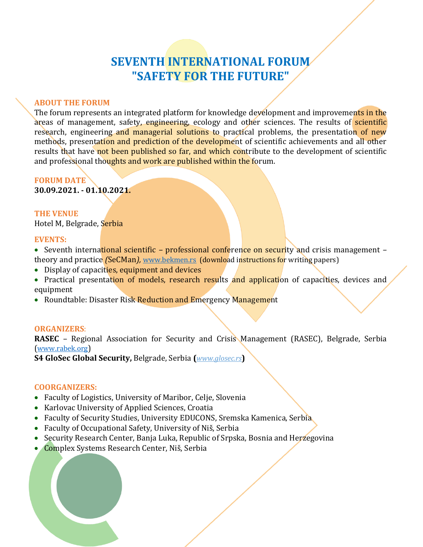# **SEVENTH INTERNATIONAL FORUM "SAFETY FOR THE FUTURE"**

### **ABOUT THE FORUM**

The forum represents an integrated platform for knowledge development and improvements in the areas of management, safety, engineering, ecology and other sciences. The results of scientific research, engineering and managerial solutions to practical problems, the presentation of new methods, presentation and prediction of the development of scientific achievements and all other results that have not been published so far, and which contribute to the development of scientific and professional thoughts and work are published within the forum.

### **FORUM DATE**

**30.09.2021. - 01.10.2021.**

### **THE VENUE**

Hotel M, Belgrade, Serbia

### **EVENTS:**

 Seventh international scientific *–* professional conference on security and crisis management *–* theory and practice *(*SeCMan*),* [www.bekmen.rs](https://bekmen.rs/en/) (download instructions for writing papers)

- Display of capacities, equipment and devices
- Practical presentation of models, research results and application of capacities, devices and equipment
- Roundtable: Disaster Risk Reduction and Emergency Management

### **ORGANIZERS**:

**RASEC** – Regional Association for Security and Crisis Management (RASEC), Belgrade, Serbia ([www.rabek.org](https://www.rabek.org/en/))

**S4 GloSec Global Security,** Belgrade, Serbia **(***www.glosec.rs***)**

### **COORGANIZERS:**

- Faculty of Logistics, University of Maribor, Celje, Slovenia
- Karlovac University of Applied Sciences, Croatia
- Faculty of Security Studies, University EDUCONS, Sremska Kamenica, Serbia
- Faculty of Occupational Safety, University of Niš, Serbia
- Security Research Center, Banja Luka, Republic of Srpska, Bosnia and Herzegovina
- **Complex Systems Research Center, Niš, Serbia**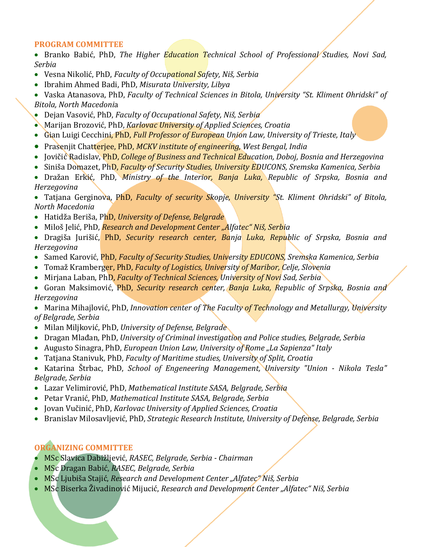### **PROGRAM COMMITTEE**

• Branko Babić, PhD, The Higher Education Technical School of Professional Studies, Novi Sad, *Serbia*

- Vesna Nikolić, PhD, *Faculty of Occupational Safety, Niš, Serbia*
- Ibrahim Ahmed Badi, PhD, *Misurata University, Libya*

 Vaska Atanasova, PhD, *Faculty of Technical Sciences in Bitola, University "St. Kliment Ohridski" of Bitola, North Macedoni*a

- Dejan Vasović, PhD, *Faculty of Occupational Safety, Niš, Serbia*
- Marijan Brozović, PhD, *Karlovac University of Applied Sciences, Croatia*
- Gian Luigi Cecchini, PhD, *Full Professor of European Union Law, University of Trieste, Italy*
- Prasenjit Chatterjee, PhD, *MCKV institute of engineering, West Bengal, India*
- Jovičić Radislav, PhD, *College of Business and Technical Education, Doboj, Bosnia and Herzegovina*
- Siniša Domazet, PhD, *Faculty of Security Studies, University EDUCONS, Sremska Kamenica, Serbia*
- Dražan Erkić, PhD, *Ministry of the Interior, Banja Luka, Republic of Srpska, Bosnia and Herzegovina*

 Tatjana Gerginova, PhD, *Faculty of security Skopje, University "St. Kliment Ohridski" of Bitola, North Macedonia* 

- Hatidža Beriša, PhD, *University of Defense, Belgrade*
- Miloš Jelić, PhD, *Research and Development Center "Alfatec" Niš, Serbia*
- Dragiša Jurišić, PhD, *Security research center, Banja Luka, Republic of Srpska, Bosnia and Herzegovina*
- **Samed Karović, PhD,** *Faculty of Security Studies, University EDUCONS***, Sremska Kamenica, Serbia**
- Tomaž Kramberger, PhD, *Faculty of Logistics, University of Maribor, Celje, Slovenia*
- Mirjana Laban, PhD, *Faculty of Technical Sciences, University of Novi Sad, Serbia*
- Goran Maksimović, PhD, *Security research center, Banja Luka, Republic of Srpska, Bosnia and Herzegovina*

 Marina Mihajlović, PhD, *Innovation center of The Faculty of Technology and Metallurgy, University of Belgrade, Serbia*

- Milan Miljković, PhD, *University of Defense, Belgrade*
- Dragan Mlađan, PhD, *University of Criminal investigation and Police studies, Belgrade, Serbia*
- Augusto Sinagra, PhD, *European Union Law, University of Rome* "La Sapienza" *Italy*
- Tatjana Stanivuk, PhD, *Faculty of Maritime studies, University of Split, Croatia*
- Katarina Štrbac, PhD, *School of Engeneering Management, University "Union - Nikola Tesla" Belgrade, Serbia*
- Lazar Velimirović, PhD, *Mathematical Institute SASA, Belgrade, Serbia*
- Petar Vranić, PhD, *Mathematical Institute SASA, Belgrade, Serbia*
- Jovan Vučinić, PhD, *Karlovac University of Applied Sciences, Croatia*
- Branislav Milosavljević, PhD, *Strategic Research Institute, University of Defense, Belgrade, Serbia*

# **ORGANIZING COMMITTEE**

- MSc Slavica Dabižljević, *RASEC, Belgrade, Serbia - Chairman*
- MSc Dragan Babić, *RASEC, Belgrade, Serbia*
- MSc Ljubiša Stajić, *Research and Development Center "Alfatec" Niš, Serbia*
- MSc Biserka Živadinović Mijucić, *Research and Development Center "Alfatec" Niš, Serbia*